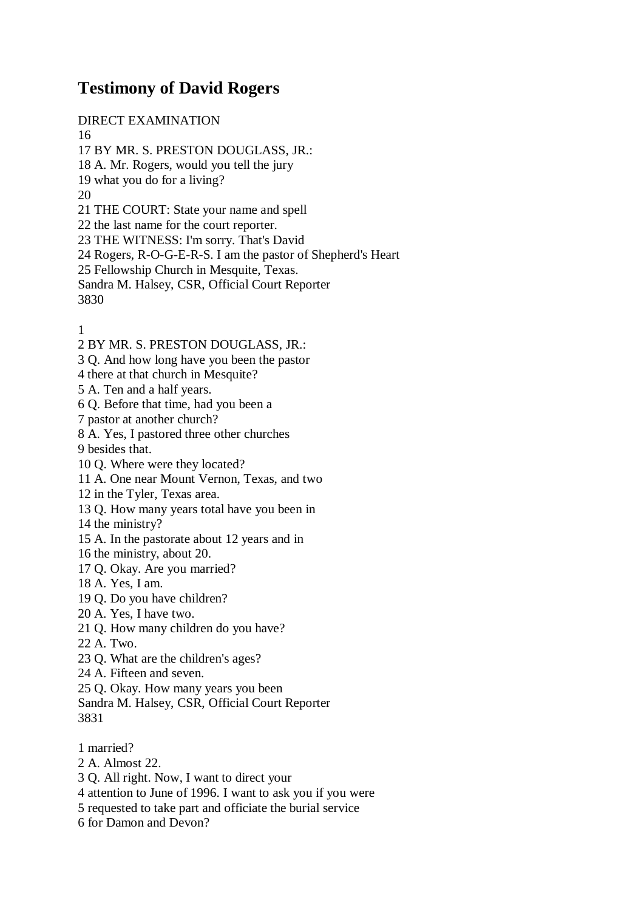## **Testimony of David Rogers**

DIRECT EXAMINATION 16 17 BY MR. S. PRESTON DOUGLASS, JR.: 18 A. Mr. Rogers, would you tell the jury 19 what you do for a living? 20 21 THE COURT: State your name and spell 22 the last name for the court reporter. 23 THE WITNESS: I'm sorry. That's David 24 Rogers, R-O-G-E-R-S. I am the pastor of Shepherd's Heart 25 Fellowship Church in Mesquite, Texas. Sandra M. Halsey, CSR, Official Court Reporter 3830

1

- 2 BY MR. S. PRESTON DOUGLASS, JR.:
- 3 Q. And how long have you been the pastor
- 4 there at that church in Mesquite?
- 5 A. Ten and a half years.
- 6 Q. Before that time, had you been a
- 7 pastor at another church?
- 8 A. Yes, I pastored three other churches
- 9 besides that.
- 10 Q. Where were they located?
- 11 A. One near Mount Vernon, Texas, and two
- 12 in the Tyler, Texas area.
- 13 Q. How many years total have you been in
- 14 the ministry?
- 15 A. In the pastorate about 12 years and in
- 16 the ministry, about 20.
- 17 Q. Okay. Are you married?
- 18 A. Yes, I am.
- 19 Q. Do you have children?
- 20 A. Yes, I have two.
- 21 Q. How many children do you have?
- 22 A. Two.
- 23 Q. What are the children's ages?
- 24 A. Fifteen and seven.
- 25 Q. Okay. How many years you been
- Sandra M. Halsey, CSR, Official Court Reporter 3831
- 1 married?
- 2 A. Almost 22.
- 3 Q. All right. Now, I want to direct your
- 4 attention to June of 1996. I want to ask you if you were
- 5 requested to take part and officiate the burial service
- 6 for Damon and Devon?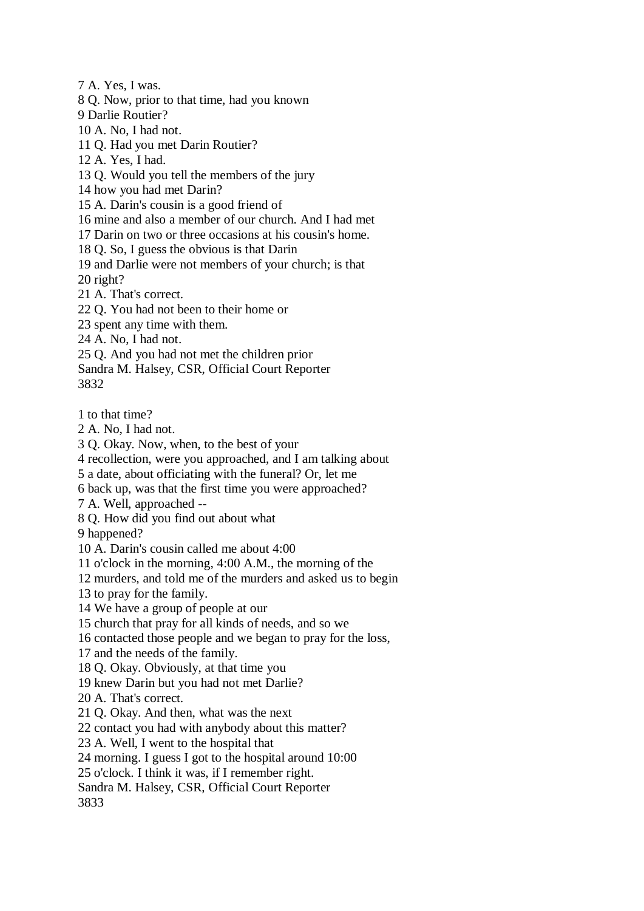7 A. Yes, I was.

8 Q. Now, prior to that time, had you known

9 Darlie Routier?

10 A. No, I had not.

11 Q. Had you met Darin Routier?

12 A. Yes, I had.

13 Q. Would you tell the members of the jury

14 how you had met Darin?

15 A. Darin's cousin is a good friend of

16 mine and also a member of our church. And I had met

17 Darin on two or three occasions at his cousin's home.

18 Q. So, I guess the obvious is that Darin

19 and Darlie were not members of your church; is that 20 right?

21 A. That's correct.

22 Q. You had not been to their home or

23 spent any time with them.

24 A. No, I had not.

25 Q. And you had not met the children prior

Sandra M. Halsey, CSR, Official Court Reporter 3832

1 to that time?

2 A. No, I had not.

3 Q. Okay. Now, when, to the best of your

4 recollection, were you approached, and I am talking about

5 a date, about officiating with the funeral? Or, let me

6 back up, was that the first time you were approached?

7 A. Well, approached --

8 Q. How did you find out about what

9 happened?

10 A. Darin's cousin called me about 4:00

11 o'clock in the morning, 4:00 A.M., the morning of the

12 murders, and told me of the murders and asked us to begin

13 to pray for the family.

14 We have a group of people at our

15 church that pray for all kinds of needs, and so we

16 contacted those people and we began to pray for the loss,

17 and the needs of the family.

18 Q. Okay. Obviously, at that time you

19 knew Darin but you had not met Darlie?

20 A. That's correct.

21 Q. Okay. And then, what was the next

22 contact you had with anybody about this matter?

23 A. Well, I went to the hospital that

24 morning. I guess I got to the hospital around 10:00

25 o'clock. I think it was, if I remember right.

Sandra M. Halsey, CSR, Official Court Reporter

3833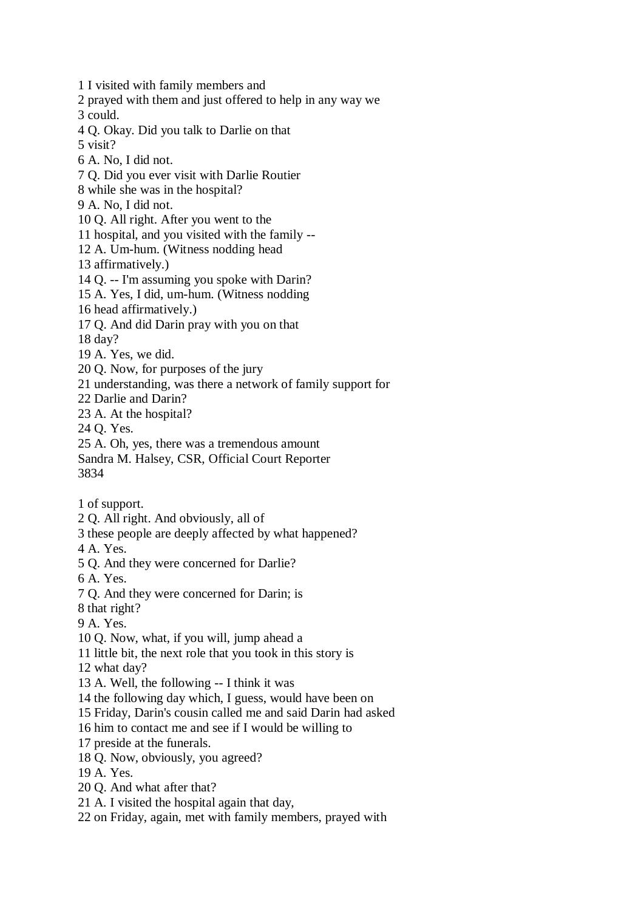1 I visited with family members and 2 prayed with them and just offered to help in any way we 3 could. 4 Q. Okay. Did you talk to Darlie on that 5 visit? 6 A. No, I did not. 7 Q. Did you ever visit with Darlie Routier 8 while she was in the hospital? 9 A. No, I did not. 10 Q. All right. After you went to the 11 hospital, and you visited with the family -- 12 A. Um-hum. (Witness nodding head 13 affirmatively.) 14 Q. -- I'm assuming you spoke with Darin? 15 A. Yes, I did, um-hum. (Witness nodding 16 head affirmatively.) 17 Q. And did Darin pray with you on that 18 day? 19 A. Yes, we did. 20 Q. Now, for purposes of the jury 21 understanding, was there a network of family support for 22 Darlie and Darin? 23 A. At the hospital? 24 Q. Yes. 25 A. Oh, yes, there was a tremendous amount Sandra M. Halsey, CSR, Official Court Reporter 3834 1 of support. 2 Q. All right. And obviously, all of 3 these people are deeply affected by what happened? 4 A. Yes. 5 Q. And they were concerned for Darlie? 6 A. Yes. 7 Q. And they were concerned for Darin; is 8 that right? 9 A. Yes. 10 Q. Now, what, if you will, jump ahead a 11 little bit, the next role that you took in this story is 12 what day? 13 A. Well, the following -- I think it was 14 the following day which, I guess, would have been on 15 Friday, Darin's cousin called me and said Darin had asked 16 him to contact me and see if I would be willing to 17 preside at the funerals. 18 Q. Now, obviously, you agreed? 19 A. Yes. 20 Q. And what after that? 21 A. I visited the hospital again that day, 22 on Friday, again, met with family members, prayed with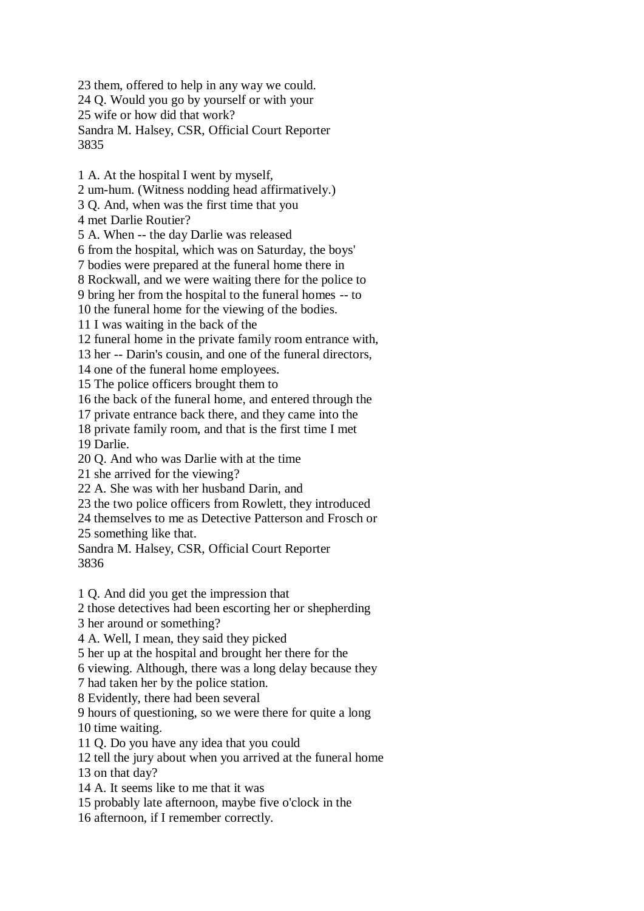23 them, offered to help in any way we could. 24 Q. Would you go by yourself or with your 25 wife or how did that work? Sandra M. Halsey, CSR, Official Court Reporter 3835

1 A. At the hospital I went by myself,

2 um-hum. (Witness nodding head affirmatively.)

3 Q. And, when was the first time that you

4 met Darlie Routier?

5 A. When -- the day Darlie was released

6 from the hospital, which was on Saturday, the boys'

7 bodies were prepared at the funeral home there in

8 Rockwall, and we were waiting there for the police to

9 bring her from the hospital to the funeral homes -- to

10 the funeral home for the viewing of the bodies.

11 I was waiting in the back of the

12 funeral home in the private family room entrance with,

13 her -- Darin's cousin, and one of the funeral directors,

14 one of the funeral home employees.

15 The police officers brought them to

16 the back of the funeral home, and entered through the

17 private entrance back there, and they came into the

18 private family room, and that is the first time I met 19 Darlie.

20 Q. And who was Darlie with at the time

21 she arrived for the viewing?

22 A. She was with her husband Darin, and

23 the two police officers from Rowlett, they introduced

24 themselves to me as Detective Patterson and Frosch or

25 something like that.

Sandra M. Halsey, CSR, Official Court Reporter 3836

1 Q. And did you get the impression that

2 those detectives had been escorting her or shepherding

3 her around or something?

4 A. Well, I mean, they said they picked

5 her up at the hospital and brought her there for the

6 viewing. Although, there was a long delay because they

7 had taken her by the police station.

8 Evidently, there had been several

9 hours of questioning, so we were there for quite a long

10 time waiting.

11 Q. Do you have any idea that you could

12 tell the jury about when you arrived at the funeral home

13 on that day?

14 A. It seems like to me that it was

15 probably late afternoon, maybe five o'clock in the

16 afternoon, if I remember correctly.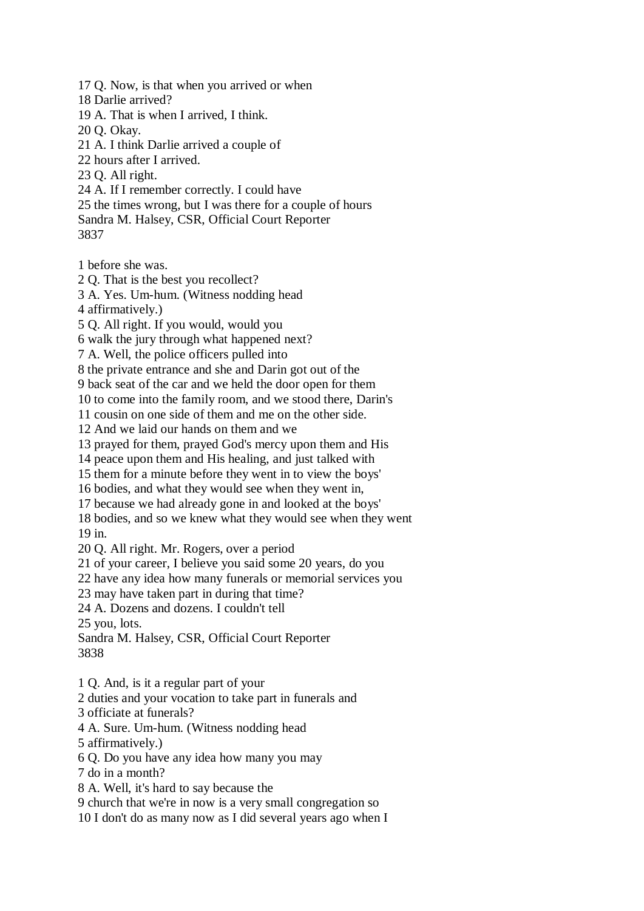17 Q. Now, is that when you arrived or when

18 Darlie arrived?

19 A. That is when I arrived, I think.

20 Q. Okay.

21 A. I think Darlie arrived a couple of

22 hours after I arrived.

23 Q. All right.

24 A. If I remember correctly. I could have

25 the times wrong, but I was there for a couple of hours Sandra M. Halsey, CSR, Official Court Reporter

3837

1 before she was.

2 Q. That is the best you recollect?

3 A. Yes. Um-hum. (Witness nodding head

4 affirmatively.)

5 Q. All right. If you would, would you

6 walk the jury through what happened next?

7 A. Well, the police officers pulled into

8 the private entrance and she and Darin got out of the

9 back seat of the car and we held the door open for them

10 to come into the family room, and we stood there, Darin's

11 cousin on one side of them and me on the other side.

12 And we laid our hands on them and we

13 prayed for them, prayed God's mercy upon them and His

14 peace upon them and His healing, and just talked with

15 them for a minute before they went in to view the boys'

16 bodies, and what they would see when they went in,

17 because we had already gone in and looked at the boys'

18 bodies, and so we knew what they would see when they went 19 in.

20 Q. All right. Mr. Rogers, over a period

21 of your career, I believe you said some 20 years, do you

22 have any idea how many funerals or memorial services you

23 may have taken part in during that time?

24 A. Dozens and dozens. I couldn't tell

25 you, lots.

Sandra M. Halsey, CSR, Official Court Reporter 3838

1 Q. And, is it a regular part of your

2 duties and your vocation to take part in funerals and

3 officiate at funerals?

4 A. Sure. Um-hum. (Witness nodding head

5 affirmatively.)

6 Q. Do you have any idea how many you may

7 do in a month?

8 A. Well, it's hard to say because the

9 church that we're in now is a very small congregation so

10 I don't do as many now as I did several years ago when I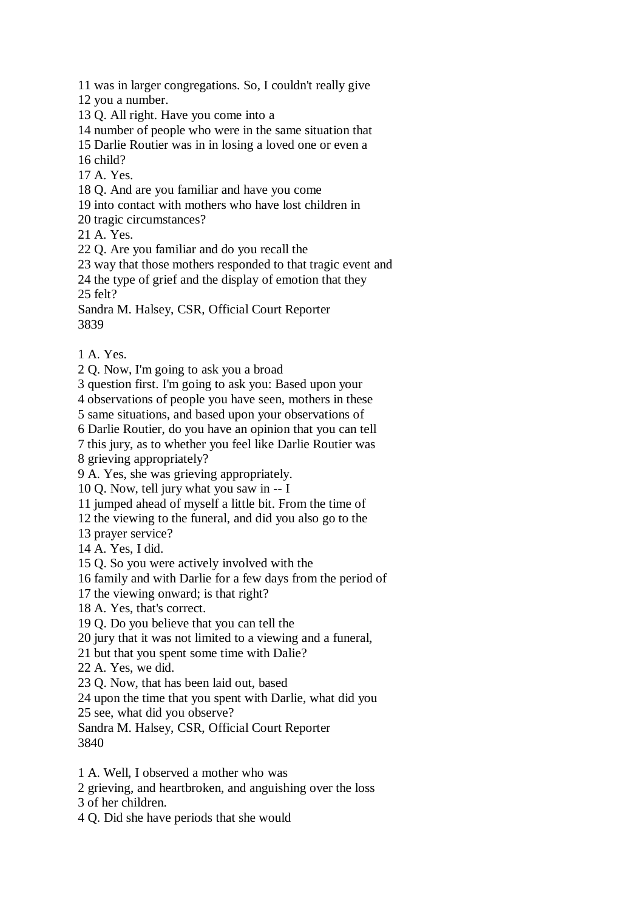11 was in larger congregations. So, I couldn't really give

12 you a number.

13 Q. All right. Have you come into a

14 number of people who were in the same situation that

15 Darlie Routier was in in losing a loved one or even a

16 child?

17 A. Yes.

18 Q. And are you familiar and have you come

19 into contact with mothers who have lost children in

20 tragic circumstances?

21 A. Yes.

22 Q. Are you familiar and do you recall the

23 way that those mothers responded to that tragic event and

24 the type of grief and the display of emotion that they

25 felt?

Sandra M. Halsey, CSR, Official Court Reporter 3839

1 A. Yes.

2 Q. Now, I'm going to ask you a broad

3 question first. I'm going to ask you: Based upon your

4 observations of people you have seen, mothers in these

5 same situations, and based upon your observations of

6 Darlie Routier, do you have an opinion that you can tell

7 this jury, as to whether you feel like Darlie Routier was

8 grieving appropriately?

9 A. Yes, she was grieving appropriately.

10 Q. Now, tell jury what you saw in -- I

11 jumped ahead of myself a little bit. From the time of

12 the viewing to the funeral, and did you also go to the

13 prayer service?

14 A. Yes, I did.

15 Q. So you were actively involved with the

16 family and with Darlie for a few days from the period of

17 the viewing onward; is that right?

18 A. Yes, that's correct.

19 Q. Do you believe that you can tell the

20 jury that it was not limited to a viewing and a funeral,

21 but that you spent some time with Dalie?

22 A. Yes, we did.

23 Q. Now, that has been laid out, based

24 upon the time that you spent with Darlie, what did you

25 see, what did you observe?

Sandra M. Halsey, CSR, Official Court Reporter 3840

1 A. Well, I observed a mother who was

2 grieving, and heartbroken, and anguishing over the loss

3 of her children.

4 Q. Did she have periods that she would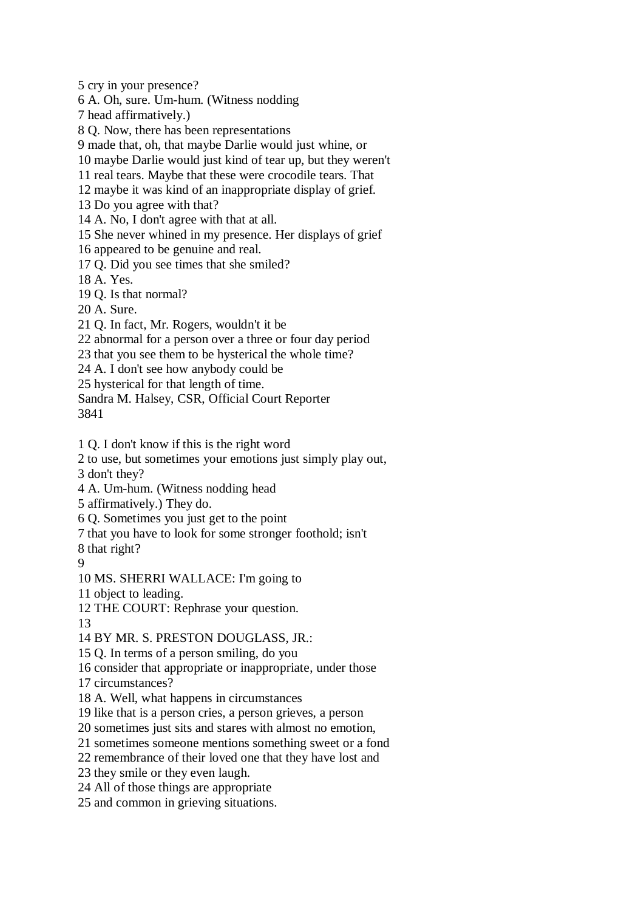5 cry in your presence?

6 A. Oh, sure. Um-hum. (Witness nodding

7 head affirmatively.)

8 Q. Now, there has been representations

9 made that, oh, that maybe Darlie would just whine, or

10 maybe Darlie would just kind of tear up, but they weren't

11 real tears. Maybe that these were crocodile tears. That

12 maybe it was kind of an inappropriate display of grief.

13 Do you agree with that?

14 A. No, I don't agree with that at all.

15 She never whined in my presence. Her displays of grief

16 appeared to be genuine and real.

17 Q. Did you see times that she smiled?

18 A. Yes.

19 Q. Is that normal?

20 A. Sure.

21 Q. In fact, Mr. Rogers, wouldn't it be

22 abnormal for a person over a three or four day period

23 that you see them to be hysterical the whole time?

24 A. I don't see how anybody could be

25 hysterical for that length of time.

Sandra M. Halsey, CSR, Official Court Reporter 3841

1 Q. I don't know if this is the right word

2 to use, but sometimes your emotions just simply play out,

3 don't they?

4 A. Um-hum. (Witness nodding head

5 affirmatively.) They do.

6 Q. Sometimes you just get to the point

7 that you have to look for some stronger foothold; isn't

8 that right?

9

10 MS. SHERRI WALLACE: I'm going to

11 object to leading.

12 THE COURT: Rephrase your question.

13

14 BY MR. S. PRESTON DOUGLASS, JR.:

15 Q. In terms of a person smiling, do you

16 consider that appropriate or inappropriate, under those

17 circumstances?

18 A. Well, what happens in circumstances

19 like that is a person cries, a person grieves, a person

20 sometimes just sits and stares with almost no emotion,

21 sometimes someone mentions something sweet or a fond

22 remembrance of their loved one that they have lost and

23 they smile or they even laugh.

24 All of those things are appropriate

25 and common in grieving situations.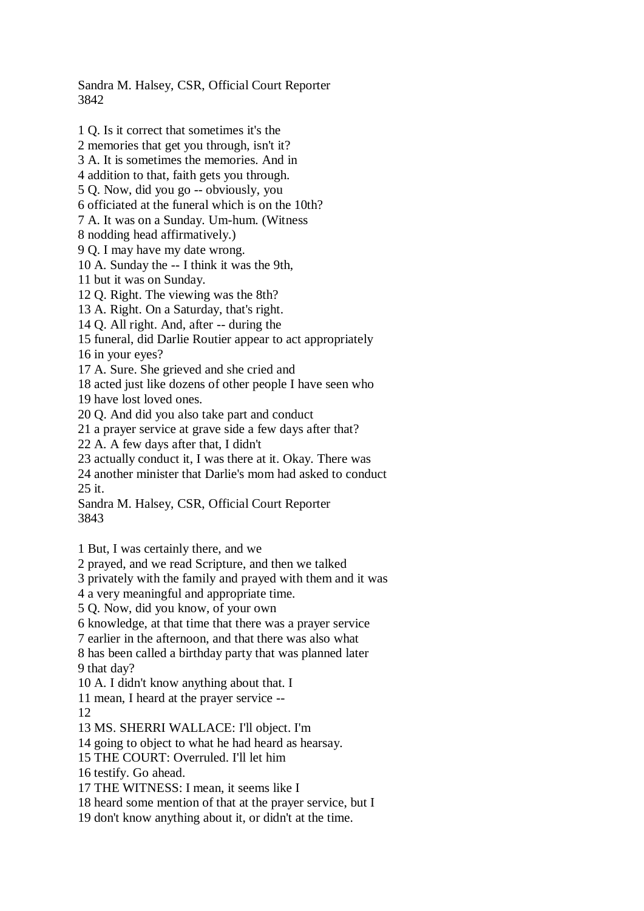Sandra M. Halsey, CSR, Official Court Reporter 3842

1 Q. Is it correct that sometimes it's the 2 memories that get you through, isn't it? 3 A. It is sometimes the memories. And in 4 addition to that, faith gets you through. 5 Q. Now, did you go -- obviously, you 6 officiated at the funeral which is on the 10th? 7 A. It was on a Sunday. Um-hum. (Witness 8 nodding head affirmatively.) 9 Q. I may have my date wrong. 10 A. Sunday the -- I think it was the 9th, 11 but it was on Sunday. 12 Q. Right. The viewing was the 8th? 13 A. Right. On a Saturday, that's right. 14 Q. All right. And, after -- during the 15 funeral, did Darlie Routier appear to act appropriately 16 in your eyes? 17 A. Sure. She grieved and she cried and 18 acted just like dozens of other people I have seen who 19 have lost loved ones. 20 Q. And did you also take part and conduct 21 a prayer service at grave side a few days after that? 22 A. A few days after that, I didn't 23 actually conduct it, I was there at it. Okay. There was 24 another minister that Darlie's mom had asked to conduct 25 it. Sandra M. Halsey, CSR, Official Court Reporter 3843 1 But, I was certainly there, and we 2 prayed, and we read Scripture, and then we talked 3 privately with the family and prayed with them and it was 4 a very meaningful and appropriate time. 5 Q. Now, did you know, of your own 6 knowledge, at that time that there was a prayer service 7 earlier in the afternoon, and that there was also what 8 has been called a birthday party that was planned later 9 that day? 10 A. I didn't know anything about that. I 11 mean, I heard at the prayer service -- 12 13 MS. SHERRI WALLACE: I'll object. I'm 14 going to object to what he had heard as hearsay. 15 THE COURT: Overruled. I'll let him 16 testify. Go ahead. 17 THE WITNESS: I mean, it seems like I 18 heard some mention of that at the prayer service, but I

19 don't know anything about it, or didn't at the time.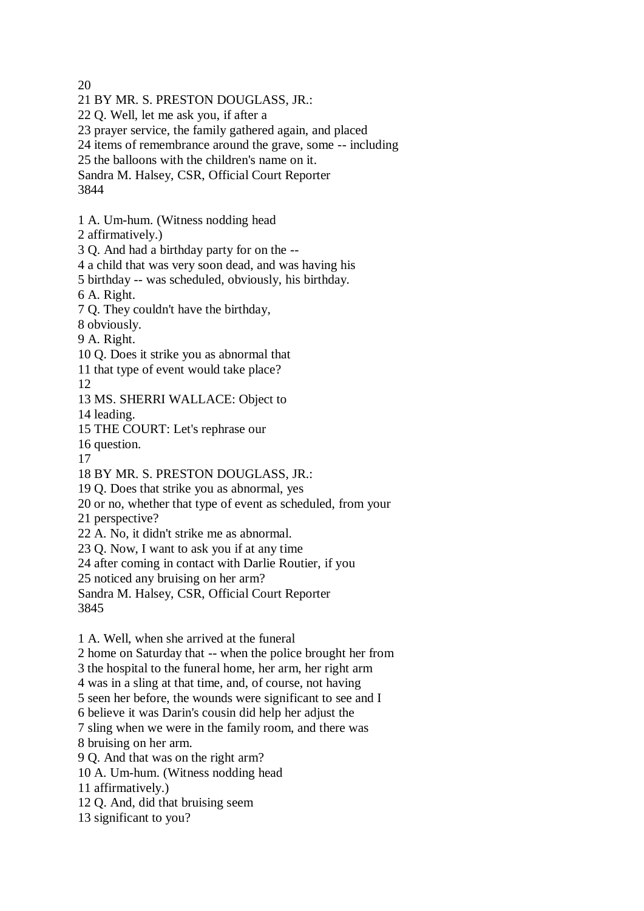20

21 BY MR. S. PRESTON DOUGLASS, JR.:

22 Q. Well, let me ask you, if after a

23 prayer service, the family gathered again, and placed

24 items of remembrance around the grave, some -- including

25 the balloons with the children's name on it.

Sandra M. Halsey, CSR, Official Court Reporter

3844

1 A. Um-hum. (Witness nodding head

2 affirmatively.)

3 Q. And had a birthday party for on the --

4 a child that was very soon dead, and was having his

5 birthday -- was scheduled, obviously, his birthday.

6 A. Right.

7 Q. They couldn't have the birthday,

8 obviously.

9 A. Right.

10 Q. Does it strike you as abnormal that

11 that type of event would take place?

12

13 MS. SHERRI WALLACE: Object to

14 leading.

15 THE COURT: Let's rephrase our

16 question.

17

18 BY MR. S. PRESTON DOUGLASS, JR.:

19 Q. Does that strike you as abnormal, yes

20 or no, whether that type of event as scheduled, from your

21 perspective?

22 A. No, it didn't strike me as abnormal.

23 Q. Now, I want to ask you if at any time

24 after coming in contact with Darlie Routier, if you

25 noticed any bruising on her arm?

Sandra M. Halsey, CSR, Official Court Reporter 3845

1 A. Well, when she arrived at the funeral

2 home on Saturday that -- when the police brought her from

3 the hospital to the funeral home, her arm, her right arm

4 was in a sling at that time, and, of course, not having

5 seen her before, the wounds were significant to see and I

6 believe it was Darin's cousin did help her adjust the

7 sling when we were in the family room, and there was

8 bruising on her arm.

9 Q. And that was on the right arm?

10 A. Um-hum. (Witness nodding head

11 affirmatively.)

12 Q. And, did that bruising seem

13 significant to you?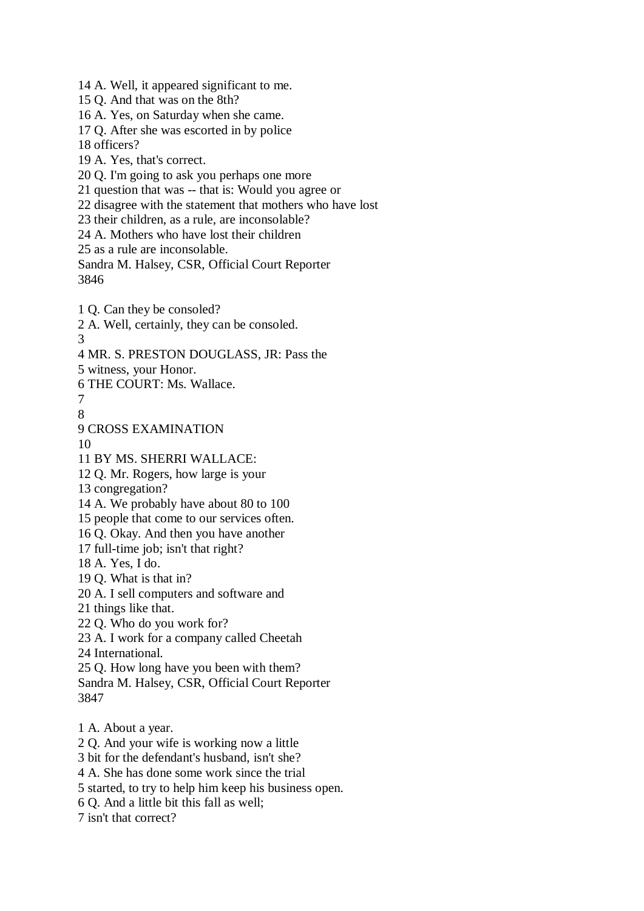18 officers? 19 A. Yes, that's correct. 20 Q. I'm going to ask you perhaps one more 21 question that was -- that is: Would you agree or 22 disagree with the statement that mothers who have lost 23 their children, as a rule, are inconsolable? 24 A. Mothers who have lost their children 25 as a rule are inconsolable. Sandra M. Halsey, CSR, Official Court Reporter 3846 1 Q. Can they be consoled? 2 A. Well, certainly, they can be consoled. 3 4 MR. S. PRESTON DOUGLASS, JR: Pass the 5 witness, your Honor. 6 THE COURT: Ms. Wallace. 7 8 9 CROSS EXAMINATION 10 11 BY MS. SHERRI WALLACE: 12 Q. Mr. Rogers, how large is your 13 congregation? 14 A. We probably have about 80 to 100 15 people that come to our services often. 16 Q. Okay. And then you have another 17 full-time job; isn't that right? 18 A. Yes, I do. 19 Q. What is that in? 20 A. I sell computers and software and 21 things like that. 22 Q. Who do you work for? 23 A. I work for a company called Cheetah 24 International. 25 Q. How long have you been with them? Sandra M. Halsey, CSR, Official Court Reporter 3847 1 A. About a year. 2 Q. And your wife is working now a little 3 bit for the defendant's husband, isn't she? 4 A. She has done some work since the trial 5 started, to try to help him keep his business open. 6 Q. And a little bit this fall as well; 7 isn't that correct?

14 A. Well, it appeared significant to me.

16 A. Yes, on Saturday when she came. 17 Q. After she was escorted in by police

15 Q. And that was on the 8th?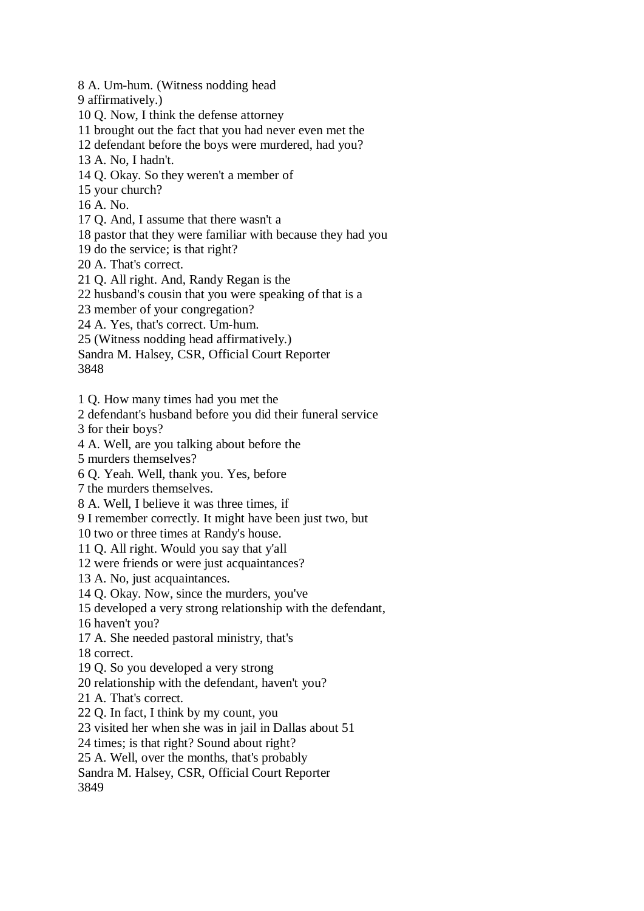8 A. Um-hum. (Witness nodding head

9 affirmatively.)

10 Q. Now, I think the defense attorney

11 brought out the fact that you had never even met the

12 defendant before the boys were murdered, had you?

13 A. No, I hadn't.

14 Q. Okay. So they weren't a member of

15 your church?

16 A. No.

17 Q. And, I assume that there wasn't a

18 pastor that they were familiar with because they had you

19 do the service; is that right?

20 A. That's correct.

21 Q. All right. And, Randy Regan is the

22 husband's cousin that you were speaking of that is a

23 member of your congregation?

24 A. Yes, that's correct. Um-hum.

25 (Witness nodding head affirmatively.)

Sandra M. Halsey, CSR, Official Court Reporter

3848

1 Q. How many times had you met the

2 defendant's husband before you did their funeral service

3 for their boys?

4 A. Well, are you talking about before the

5 murders themselves?

6 Q. Yeah. Well, thank you. Yes, before

7 the murders themselves.

8 A. Well, I believe it was three times, if

9 I remember correctly. It might have been just two, but

10 two or three times at Randy's house.

11 Q. All right. Would you say that y'all

12 were friends or were just acquaintances?

13 A. No, just acquaintances.

14 Q. Okay. Now, since the murders, you've

15 developed a very strong relationship with the defendant,

16 haven't you?

17 A. She needed pastoral ministry, that's

18 correct.

19 Q. So you developed a very strong

20 relationship with the defendant, haven't you?

21 A. That's correct.

22 Q. In fact, I think by my count, you

23 visited her when she was in jail in Dallas about 51

24 times; is that right? Sound about right?

25 A. Well, over the months, that's probably

Sandra M. Halsey, CSR, Official Court Reporter

3849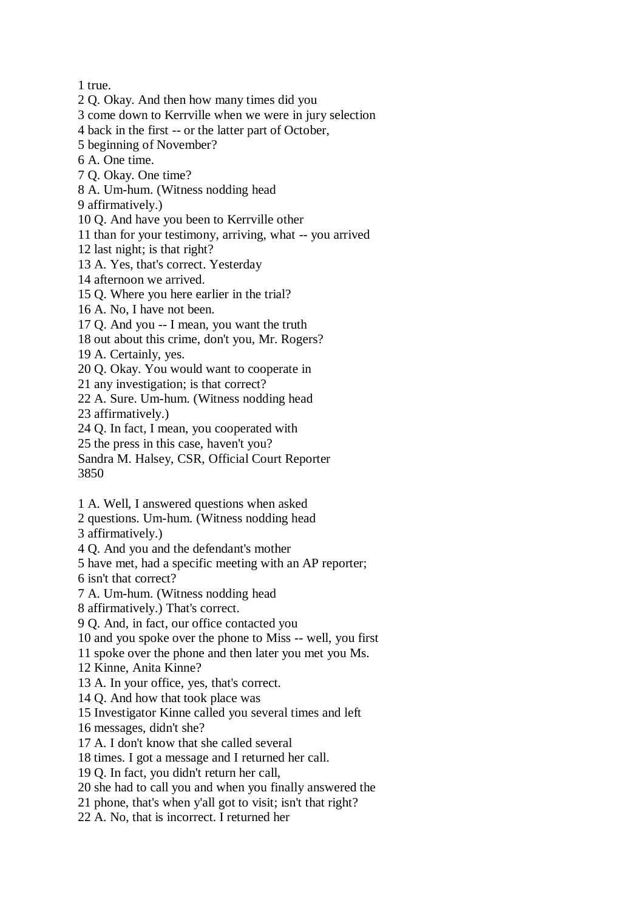1 true.

2 Q. Okay. And then how many times did you

3 come down to Kerrville when we were in jury selection

4 back in the first -- or the latter part of October,

5 beginning of November?

6 A. One time.

7 Q. Okay. One time?

8 A. Um-hum. (Witness nodding head

9 affirmatively.)

10 Q. And have you been to Kerrville other

11 than for your testimony, arriving, what -- you arrived

12 last night; is that right?

13 A. Yes, that's correct. Yesterday

14 afternoon we arrived.

15 Q. Where you here earlier in the trial?

16 A. No, I have not been.

17 Q. And you -- I mean, you want the truth

18 out about this crime, don't you, Mr. Rogers?

19 A. Certainly, yes.

20 Q. Okay. You would want to cooperate in

21 any investigation; is that correct?

22 A. Sure. Um-hum. (Witness nodding head

23 affirmatively.)

24 Q. In fact, I mean, you cooperated with

25 the press in this case, haven't you?

Sandra M. Halsey, CSR, Official Court Reporter 3850

1 A. Well, I answered questions when asked

2 questions. Um-hum. (Witness nodding head

3 affirmatively.)

4 Q. And you and the defendant's mother

5 have met, had a specific meeting with an AP reporter;

6 isn't that correct?

7 A. Um-hum. (Witness nodding head

8 affirmatively.) That's correct.

9 Q. And, in fact, our office contacted you

10 and you spoke over the phone to Miss -- well, you first

11 spoke over the phone and then later you met you Ms.

12 Kinne, Anita Kinne?

13 A. In your office, yes, that's correct.

14 Q. And how that took place was

15 Investigator Kinne called you several times and left

16 messages, didn't she?

17 A. I don't know that she called several

18 times. I got a message and I returned her call.

19 Q. In fact, you didn't return her call,

20 she had to call you and when you finally answered the

21 phone, that's when y'all got to visit; isn't that right?

22 A. No, that is incorrect. I returned her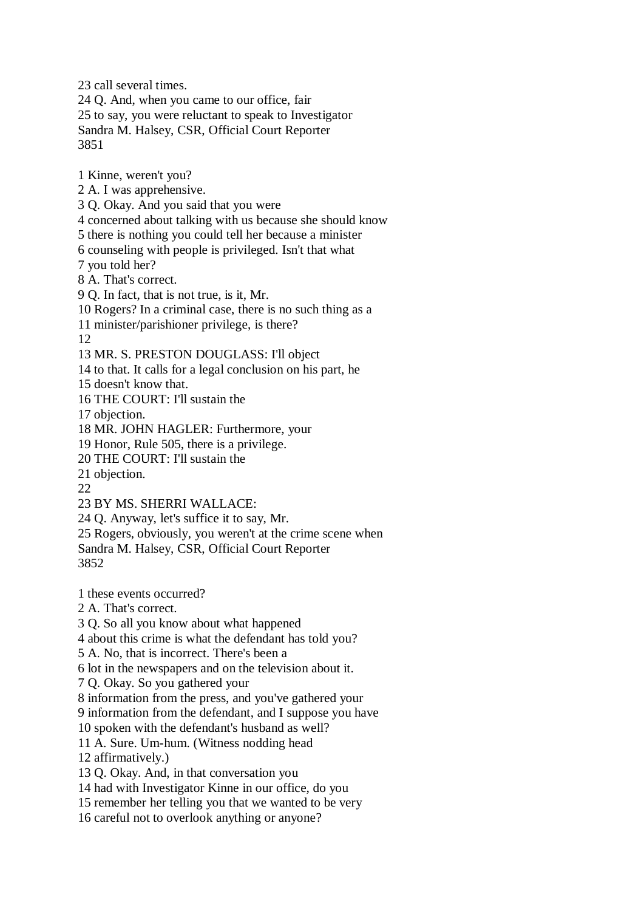23 call several times. 24 Q. And, when you came to our office, fair 25 to say, you were reluctant to speak to Investigator Sandra M. Halsey, CSR, Official Court Reporter 3851 1 Kinne, weren't you?

2 A. I was apprehensive.

3 Q. Okay. And you said that you were

4 concerned about talking with us because she should know

5 there is nothing you could tell her because a minister

6 counseling with people is privileged. Isn't that what

7 you told her?

8 A. That's correct.

9 Q. In fact, that is not true, is it, Mr.

10 Rogers? In a criminal case, there is no such thing as a

11 minister/parishioner privilege, is there?

12

13 MR. S. PRESTON DOUGLASS: I'll object

14 to that. It calls for a legal conclusion on his part, he

15 doesn't know that.

16 THE COURT: I'll sustain the

17 objection.

18 MR. JOHN HAGLER: Furthermore, your

19 Honor, Rule 505, there is a privilege.

20 THE COURT: I'll sustain the

21 objection.

22

23 BY MS. SHERRI WALLACE:

24 Q. Anyway, let's suffice it to say, Mr.

25 Rogers, obviously, you weren't at the crime scene when

Sandra M. Halsey, CSR, Official Court Reporter

3852

1 these events occurred?

2 A. That's correct.

3 Q. So all you know about what happened

4 about this crime is what the defendant has told you?

5 A. No, that is incorrect. There's been a

6 lot in the newspapers and on the television about it.

7 Q. Okay. So you gathered your

8 information from the press, and you've gathered your

9 information from the defendant, and I suppose you have

10 spoken with the defendant's husband as well?

11 A. Sure. Um-hum. (Witness nodding head

12 affirmatively.)

13 Q. Okay. And, in that conversation you

14 had with Investigator Kinne in our office, do you

15 remember her telling you that we wanted to be very

16 careful not to overlook anything or anyone?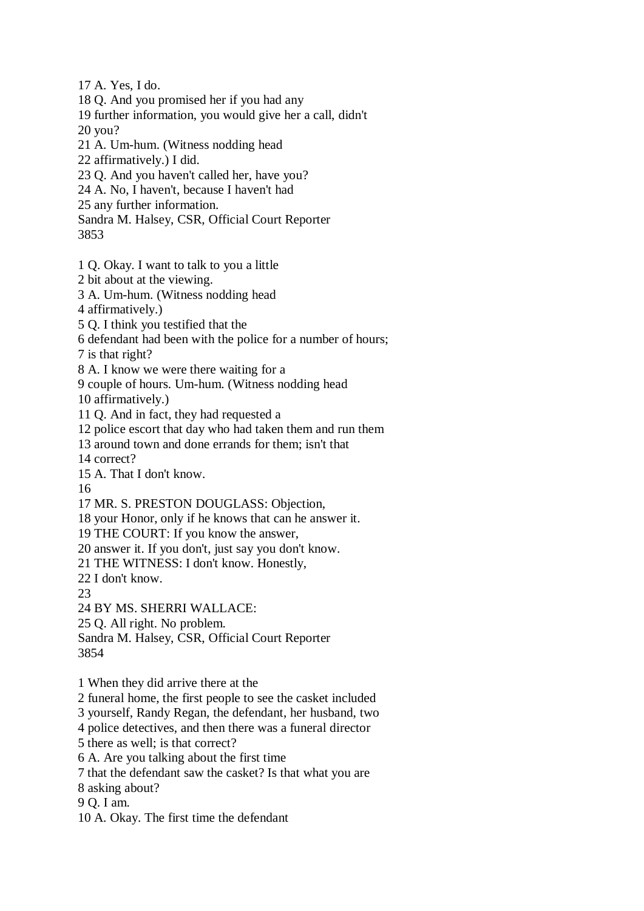17 A. Yes, I do.

- 18 Q. And you promised her if you had any
- 19 further information, you would give her a call, didn't 20 you?
- 21 A. Um-hum. (Witness nodding head
- 22 affirmatively.) I did.
- 23 Q. And you haven't called her, have you?
- 24 A. No, I haven't, because I haven't had
- 25 any further information.
- Sandra M. Halsey, CSR, Official Court Reporter

3853

- 1 Q. Okay. I want to talk to you a little
- 2 bit about at the viewing.
- 3 A. Um-hum. (Witness nodding head
- 4 affirmatively.)
- 5 Q. I think you testified that the
- 6 defendant had been with the police for a number of hours;
- 7 is that right?
- 8 A. I know we were there waiting for a
- 9 couple of hours. Um-hum. (Witness nodding head
- 10 affirmatively.)
- 11 Q. And in fact, they had requested a
- 12 police escort that day who had taken them and run them
- 13 around town and done errands for them; isn't that
- 14 correct?
- 15 A. That I don't know.
- 16
- 17 MR. S. PRESTON DOUGLASS: Objection,
- 18 your Honor, only if he knows that can he answer it.
- 19 THE COURT: If you know the answer,
- 20 answer it. If you don't, just say you don't know.
- 21 THE WITNESS: I don't know. Honestly,
- 22 I don't know.
- $23$
- 24 BY MS. SHERRI WALLACE:
- 25 Q. All right. No problem.
- Sandra M. Halsey, CSR, Official Court Reporter 3854
- 
- 1 When they did arrive there at the
- 2 funeral home, the first people to see the casket included
- 3 yourself, Randy Regan, the defendant, her husband, two
- 4 police detectives, and then there was a funeral director
- 5 there as well; is that correct?
- 6 A. Are you talking about the first time
- 7 that the defendant saw the casket? Is that what you are 8 asking about?
- 
- 9 Q. I am.
- 10 A. Okay. The first time the defendant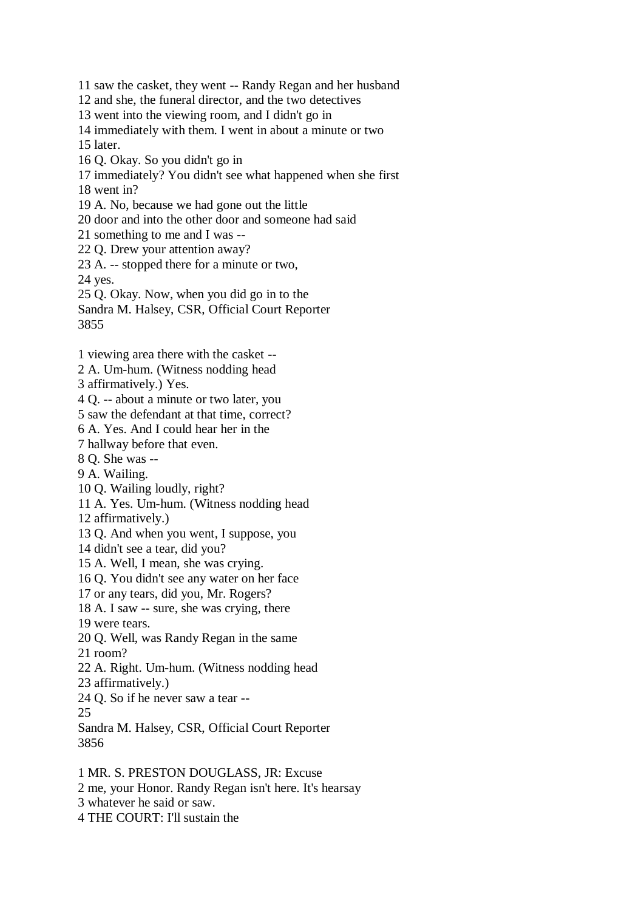11 saw the casket, they went -- Randy Regan and her husband 12 and she, the funeral director, and the two detectives 13 went into the viewing room, and I didn't go in 14 immediately with them. I went in about a minute or two 15 later. 16 Q. Okay. So you didn't go in 17 immediately? You didn't see what happened when she first 18 went in? 19 A. No, because we had gone out the little 20 door and into the other door and someone had said 21 something to me and I was -- 22 Q. Drew your attention away? 23 A. -- stopped there for a minute or two, 24 yes. 25 Q. Okay. Now, when you did go in to the Sandra M. Halsey, CSR, Official Court Reporter 3855

1 viewing area there with the casket --

2 A. Um-hum. (Witness nodding head

3 affirmatively.) Yes.

4 Q. -- about a minute or two later, you

5 saw the defendant at that time, correct?

6 A. Yes. And I could hear her in the

7 hallway before that even.

8 Q. She was --

9 A. Wailing.

10 Q. Wailing loudly, right?

11 A. Yes. Um-hum. (Witness nodding head

12 affirmatively.)

13 Q. And when you went, I suppose, you

14 didn't see a tear, did you?

15 A. Well, I mean, she was crying.

16 Q. You didn't see any water on her face

17 or any tears, did you, Mr. Rogers?

18 A. I saw -- sure, she was crying, there

19 were tears.

20 Q. Well, was Randy Regan in the same

21 room?

22 A. Right. Um-hum. (Witness nodding head

23 affirmatively.)

24 Q. So if he never saw a tear --

25

Sandra M. Halsey, CSR, Official Court Reporter 3856

1 MR. S. PRESTON DOUGLASS, JR: Excuse 2 me, your Honor. Randy Regan isn't here. It's hearsay 3 whatever he said or saw. 4 THE COURT: I'll sustain the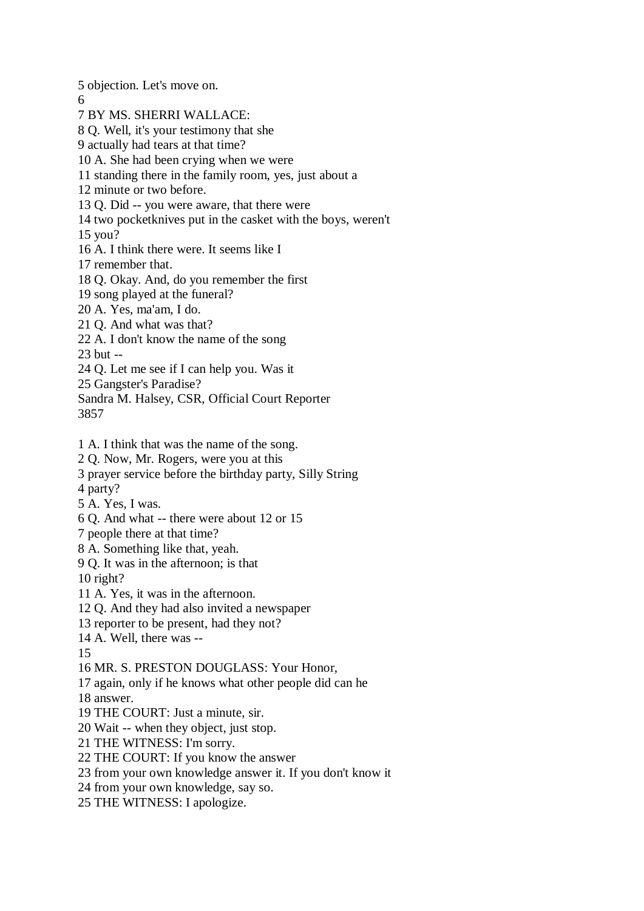5 objection. Let's move on. 6 7 BY MS. SHERRI WALLACE: 8 Q. Well, it's your testimony that she 9 actually had tears at that time? 10 A. She had been crying when we were 11 standing there in the family room, yes, just about a 12 minute or two before. 13 Q. Did -- you were aware, that there were 14 two pocketknives put in the casket with the boys, weren't 15 you? 16 A. I think there were. It seems like I 17 remember that. 18 Q. Okay. And, do you remember the first 19 song played at the funeral? 20 A. Yes, ma'am, I do. 21 Q. And what was that? 22 A. I don't know the name of the song 23 but -- 24 Q. Let me see if I can help you. Was it 25 Gangster's Paradise? Sandra M. Halsey, CSR, Official Court Reporter 3857 1 A. I think that was the name of the song. 2 Q. Now, Mr. Rogers, were you at this 3 prayer service before the birthday party, Silly String 4 party? 5 A. Yes, I was. 6 Q. And what -- there were about 12 or 15 7 people there at that time? 8 A. Something like that, yeah. 9 Q. It was in the afternoon; is that 10 right? 11 A. Yes, it was in the afternoon. 12 Q. And they had also invited a newspaper 13 reporter to be present, had they not? 14 A. Well, there was -- 15 16 MR. S. PRESTON DOUGLASS: Your Honor, 17 again, only if he knows what other people did can he 18 answer. 19 THE COURT: Just a minute, sir. 20 Wait -- when they object, just stop. 21 THE WITNESS: I'm sorry. 22 THE COURT: If you know the answer 23 from your own knowledge answer it. If you don't know it 24 from your own knowledge, say so.

25 THE WITNESS: I apologize.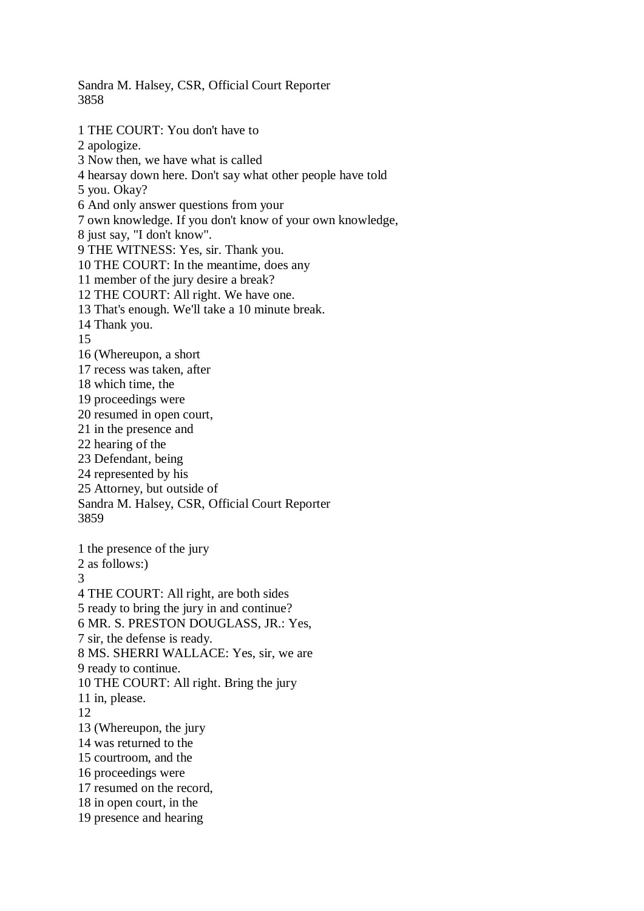Sandra M. Halsey, CSR, Official Court Reporter 3858

1 THE COURT: You don't have to 2 apologize. 3 Now then, we have what is called 4 hearsay down here. Don't say what other people have told 5 you. Okay? 6 And only answer questions from your 7 own knowledge. If you don't know of your own knowledge, 8 just say, "I don't know". 9 THE WITNESS: Yes, sir. Thank you. 10 THE COURT: In the meantime, does any 11 member of the jury desire a break? 12 THE COURT: All right. We have one. 13 That's enough. We'll take a 10 minute break. 14 Thank you. 15 16 (Whereupon, a short 17 recess was taken, after 18 which time, the 19 proceedings were 20 resumed in open court, 21 in the presence and 22 hearing of the 23 Defendant, being 24 represented by his 25 Attorney, but outside of Sandra M. Halsey, CSR, Official Court Reporter 3859 1 the presence of the jury 2 as follows:) 3 4 THE COURT: All right, are both sides 5 ready to bring the jury in and continue? 6 MR. S. PRESTON DOUGLASS, JR.: Yes, 7 sir, the defense is ready. 8 MS. SHERRI WALLACE: Yes, sir, we are 9 ready to continue. 10 THE COURT: All right. Bring the jury 11 in, please. 12 13 (Whereupon, the jury 14 was returned to the 15 courtroom, and the 16 proceedings were 17 resumed on the record, 18 in open court, in the 19 presence and hearing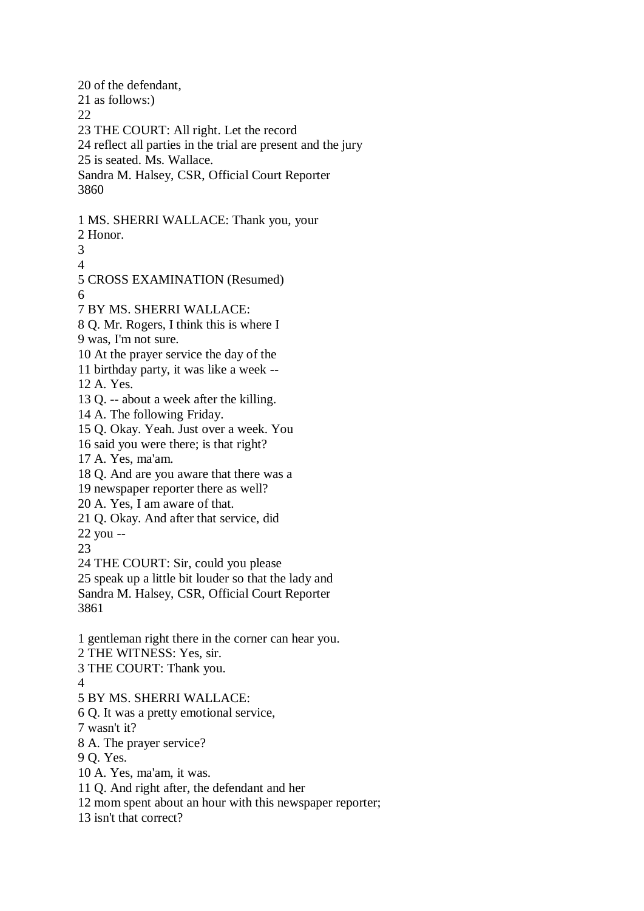20 of the defendant, 21 as follows:) 22 23 THE COURT: All right. Let the record 24 reflect all parties in the trial are present and the jury 25 is seated. Ms. Wallace. Sandra M. Halsey, CSR, Official Court Reporter 3860 1 MS. SHERRI WALLACE: Thank you, your 2 Honor. 3 4 5 CROSS EXAMINATION (Resumed) 6 7 BY MS. SHERRI WALLACE: 8 Q. Mr. Rogers, I think this is where I 9 was, I'm not sure. 10 At the prayer service the day of the 11 birthday party, it was like a week -- 12 A. Yes. 13 Q. -- about a week after the killing. 14 A. The following Friday. 15 Q. Okay. Yeah. Just over a week. You 16 said you were there; is that right? 17 A. Yes, ma'am. 18 Q. And are you aware that there was a 19 newspaper reporter there as well? 20 A. Yes, I am aware of that. 21 Q. Okay. And after that service, did 22 you -- 23 24 THE COURT: Sir, could you please 25 speak up a little bit louder so that the lady and Sandra M. Halsey, CSR, Official Court Reporter 3861 1 gentleman right there in the corner can hear you. 2 THE WITNESS: Yes, sir. 3 THE COURT: Thank you. 4 5 BY MS. SHERRI WALLACE: 6 Q. It was a pretty emotional service, 7 wasn't it? 8 A. The prayer service? 9 Q. Yes. 10 A. Yes, ma'am, it was. 11 Q. And right after, the defendant and her 12 mom spent about an hour with this newspaper reporter; 13 isn't that correct?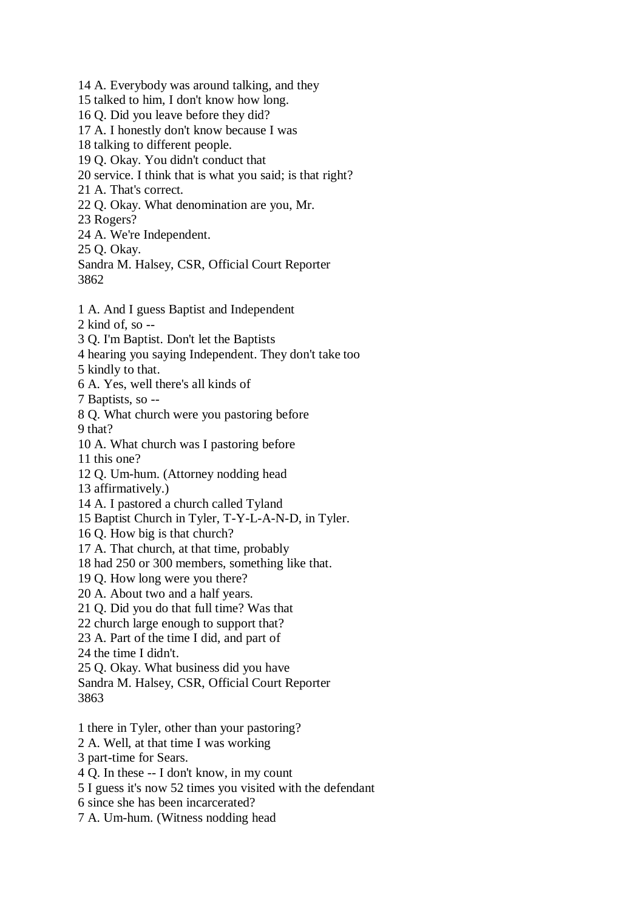14 A. Everybody was around talking, and they 15 talked to him, I don't know how long. 16 Q. Did you leave before they did? 17 A. I honestly don't know because I was 18 talking to different people. 19 Q. Okay. You didn't conduct that 20 service. I think that is what you said; is that right? 21 A. That's correct. 22 Q. Okay. What denomination are you, Mr. 23 Rogers? 24 A. We're Independent. 25 Q. Okay. Sandra M. Halsey, CSR, Official Court Reporter 3862 1 A. And I guess Baptist and Independent 2 kind of, so -- 3 Q. I'm Baptist. Don't let the Baptists 4 hearing you saying Independent. They don't take too 5 kindly to that. 6 A. Yes, well there's all kinds of 7 Baptists, so -- 8 Q. What church were you pastoring before 9 that? 10 A. What church was I pastoring before 11 this one? 12 Q. Um-hum. (Attorney nodding head 13 affirmatively.) 14 A. I pastored a church called Tyland 15 Baptist Church in Tyler, T-Y-L-A-N-D, in Tyler. 16 Q. How big is that church? 17 A. That church, at that time, probably 18 had 250 or 300 members, something like that. 19 Q. How long were you there? 20 A. About two and a half years. 21 Q. Did you do that full time? Was that 22 church large enough to support that? 23 A. Part of the time I did, and part of 24 the time I didn't. 25 Q. Okay. What business did you have Sandra M. Halsey, CSR, Official Court Reporter 3863 1 there in Tyler, other than your pastoring? 2 A. Well, at that time I was working 3 part-time for Sears. 4 Q. In these -- I don't know, in my count 5 I guess it's now 52 times you visited with the defendant

- 6 since she has been incarcerated?
- 7 A. Um-hum. (Witness nodding head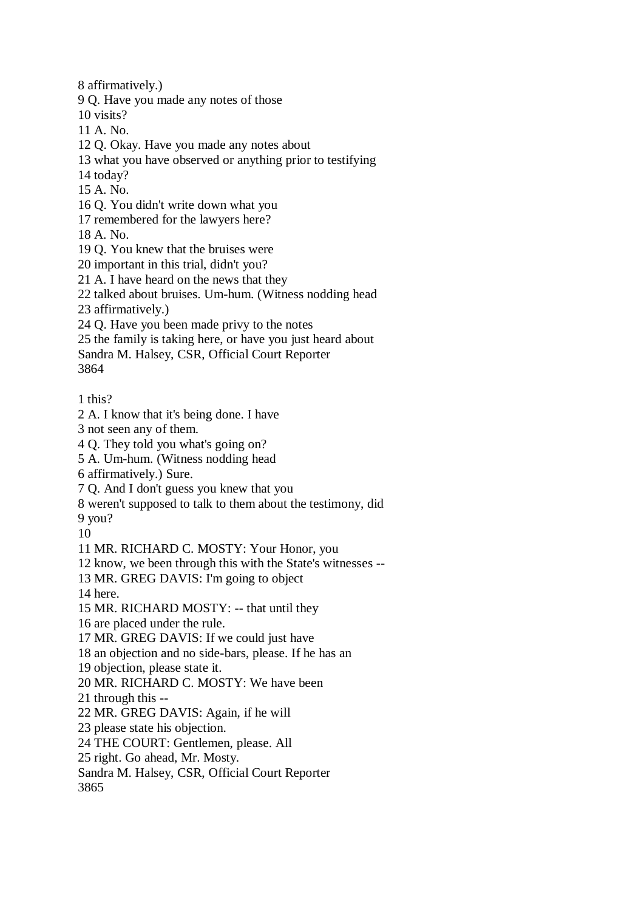8 affirmatively.) 9 Q. Have you made any notes of those 10 visits? 11 A. No. 12 Q. Okay. Have you made any notes about 13 what you have observed or anything prior to testifying 14 today? 15 A. No. 16 Q. You didn't write down what you 17 remembered for the lawyers here? 18 A. No. 19 Q. You knew that the bruises were 20 important in this trial, didn't you? 21 A. I have heard on the news that they 22 talked about bruises. Um-hum. (Witness nodding head 23 affirmatively.) 24 Q. Have you been made privy to the notes 25 the family is taking here, or have you just heard about Sandra M. Halsey, CSR, Official Court Reporter 3864 1 this? 2 A. I know that it's being done. I have 3 not seen any of them. 4 Q. They told you what's going on? 5 A. Um-hum. (Witness nodding head 6 affirmatively.) Sure. 7 Q. And I don't guess you knew that you 8 weren't supposed to talk to them about the testimony, did 9 you? 10 11 MR. RICHARD C. MOSTY: Your Honor, you 12 know, we been through this with the State's witnesses -- 13 MR. GREG DAVIS: I'm going to object 14 here. 15 MR. RICHARD MOSTY: -- that until they 16 are placed under the rule. 17 MR. GREG DAVIS: If we could just have 18 an objection and no side-bars, please. If he has an 19 objection, please state it. 20 MR. RICHARD C. MOSTY: We have been 21 through this -- 22 MR. GREG DAVIS: Again, if he will 23 please state his objection. 24 THE COURT: Gentlemen, please. All 25 right. Go ahead, Mr. Mosty. Sandra M. Halsey, CSR, Official Court Reporter 3865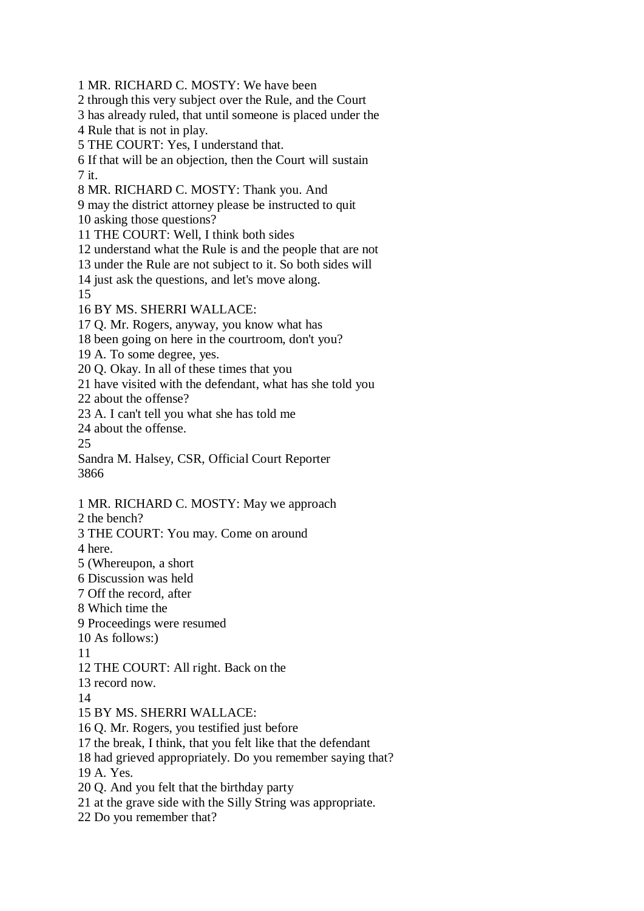1 MR. RICHARD C. MOSTY: We have been 2 through this very subject over the Rule, and the Court 3 has already ruled, that until someone is placed under the 4 Rule that is not in play. 5 THE COURT: Yes, I understand that. 6 If that will be an objection, then the Court will sustain 7 it. 8 MR. RICHARD C. MOSTY: Thank you. And 9 may the district attorney please be instructed to quit 10 asking those questions? 11 THE COURT: Well, I think both sides 12 understand what the Rule is and the people that are not 13 under the Rule are not subject to it. So both sides will 14 just ask the questions, and let's move along. 15 16 BY MS. SHERRI WALLACE: 17 Q. Mr. Rogers, anyway, you know what has 18 been going on here in the courtroom, don't you? 19 A. To some degree, yes. 20 Q. Okay. In all of these times that you 21 have visited with the defendant, what has she told you 22 about the offense? 23 A. I can't tell you what she has told me 24 about the offense. 25 Sandra M. Halsey, CSR, Official Court Reporter 3866 1 MR. RICHARD C. MOSTY: May we approach 2 the bench? 3 THE COURT: You may. Come on around 4 here. 5 (Whereupon, a short 6 Discussion was held 7 Off the record, after 8 Which time the 9 Proceedings were resumed 10 As follows:) 11 12 THE COURT: All right. Back on the 13 record now. 14 15 BY MS. SHERRI WALLACE: 16 Q. Mr. Rogers, you testified just before 17 the break, I think, that you felt like that the defendant 18 had grieved appropriately. Do you remember saying that? 19 A. Yes. 20 Q. And you felt that the birthday party 21 at the grave side with the Silly String was appropriate. 22 Do you remember that?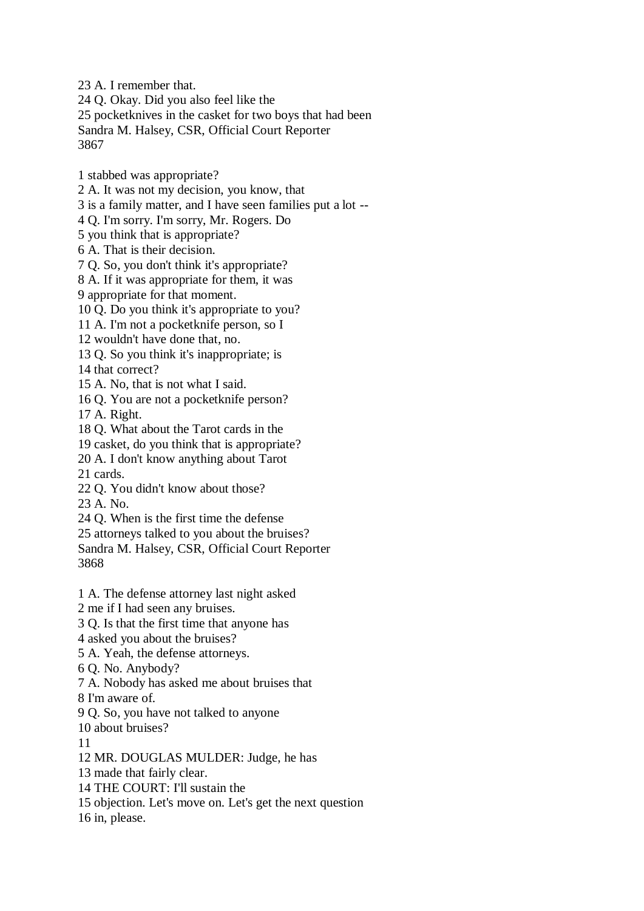23 A. I remember that. 24 Q. Okay. Did you also feel like the 25 pocketknives in the casket for two boys that had been Sandra M. Halsey, CSR, Official Court Reporter 3867

1 stabbed was appropriate?

2 A. It was not my decision, you know, that

3 is a family matter, and I have seen families put a lot --

4 Q. I'm sorry. I'm sorry, Mr. Rogers. Do

5 you think that is appropriate?

6 A. That is their decision.

7 Q. So, you don't think it's appropriate?

8 A. If it was appropriate for them, it was

9 appropriate for that moment.

10 Q. Do you think it's appropriate to you?

11 A. I'm not a pocketknife person, so I

12 wouldn't have done that, no.

13 Q. So you think it's inappropriate; is

14 that correct?

15 A. No, that is not what I said.

16 Q. You are not a pocketknife person?

17 A. Right.

18 Q. What about the Tarot cards in the

19 casket, do you think that is appropriate?

20 A. I don't know anything about Tarot

21 cards.

22 Q. You didn't know about those?

23 A. No.

24 Q. When is the first time the defense

25 attorneys talked to you about the bruises?

Sandra M. Halsey, CSR, Official Court Reporter 3868

1 A. The defense attorney last night asked

2 me if I had seen any bruises.

3 Q. Is that the first time that anyone has

4 asked you about the bruises?

5 A. Yeah, the defense attorneys.

6 Q. No. Anybody?

7 A. Nobody has asked me about bruises that

8 I'm aware of.

9 Q. So, you have not talked to anyone

10 about bruises?

11

12 MR. DOUGLAS MULDER: Judge, he has

13 made that fairly clear.

14 THE COURT: I'll sustain the

15 objection. Let's move on. Let's get the next question

16 in, please.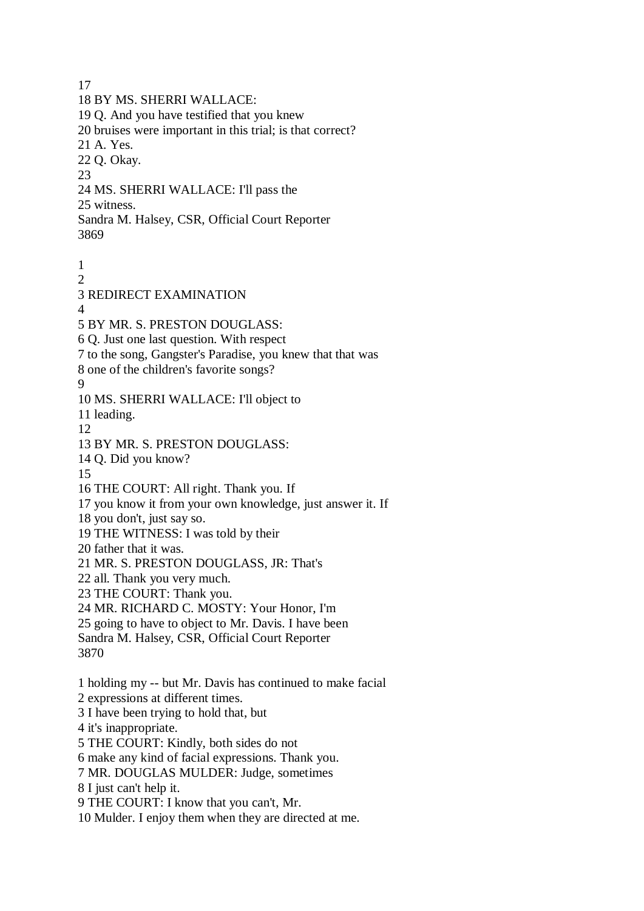17 18 BY MS. SHERRI WALLACE: 19 Q. And you have testified that you knew 20 bruises were important in this trial; is that correct? 21 A. Yes. 22 Q. Okay. 23 24 MS. SHERRI WALLACE: I'll pass the 25 witness. Sandra M. Halsey, CSR, Official Court Reporter 3869 1  $\mathcal{D}_{\mathcal{L}}$ 3 REDIRECT EXAMINATION 4 5 BY MR. S. PRESTON DOUGLASS: 6 Q. Just one last question. With respect 7 to the song, Gangster's Paradise, you knew that that was 8 one of the children's favorite songs? 9 10 MS. SHERRI WALLACE: I'll object to 11 leading. 12 13 BY MR. S. PRESTON DOUGLASS: 14 Q. Did you know? 15 16 THE COURT: All right. Thank you. If 17 you know it from your own knowledge, just answer it. If 18 you don't, just say so. 19 THE WITNESS: I was told by their 20 father that it was. 21 MR. S. PRESTON DOUGLASS, JR: That's 22 all. Thank you very much. 23 THE COURT: Thank you. 24 MR. RICHARD C. MOSTY: Your Honor, I'm 25 going to have to object to Mr. Davis. I have been Sandra M. Halsey, CSR, Official Court Reporter 3870 1 holding my -- but Mr. Davis has continued to make facial 2 expressions at different times. 3 I have been trying to hold that, but 4 it's inappropriate. 5 THE COURT: Kindly, both sides do not 6 make any kind of facial expressions. Thank you. 7 MR. DOUGLAS MULDER: Judge, sometimes 8 I just can't help it. 9 THE COURT: I know that you can't, Mr. 10 Mulder. I enjoy them when they are directed at me.